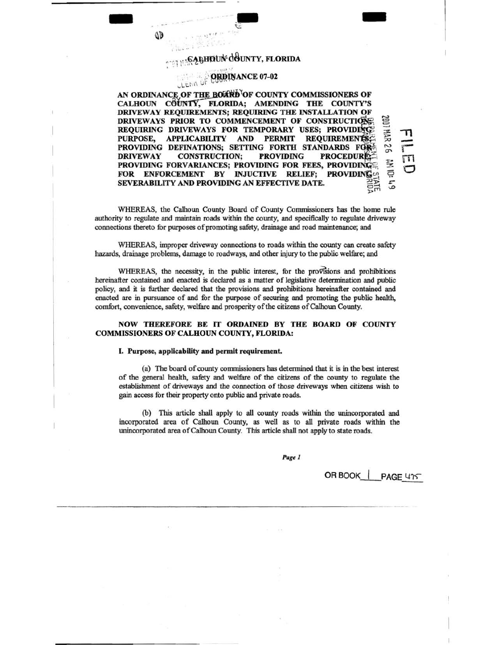# $_{6}$ GABHDUN<sup>:</sup> COUNTY, FLORIDA

 $\epsilon$ 

- ...

- ... ..

#### **ORDINANCE 07-02** <sup>~</sup>L t.l · ,., v r I7JO'I"t

 $\tilde{ }$  $\Xi$ AN ORDINANCE OF THE BOARD OF COUNTY COMMISSIONERS OF CALHOUN COUNTY, FLORIDA; AMENDING THE COUNTY'S DRIVEWAY REQUIREMENTS; REQUIRING THE INSTALLATION OF DRIVEWAYS PRIOR TO COMMENCEMENT OF CONSTRUCTIONS REQUIRING DRIVEWAYS FOR TEMPORARY USES; PROVIDING PURPOSE, APPLICABILITY AND PERMIT REQUIREMENTS: ::Jt  $-11$ PROVIDING DEFINATIONS; SETTING FORTH STANDARDS FOR DRIVEWAY CONSTRUCTION; PROVIDING PROCEDURE: DRIVEWAY CONSTRUCTION; PROVIDING PROVIDING FORVARIANCES; PROVIDING FOR FEES, PROVIDING<br>FOR ENFORCEMENT BY INJUCTIVE RELIEF; PROVIDING FOR ENFORCEMENT BY SEVERABILITY AND PROVIDING AN EFFECTIVE DATE. 'XI N 0"

WHEREAS, the Calhoun County Board of County Commissioners has the home rule authority to regulate and maintain roads within the county, and specifically to regulate driveway connections thereto for purposes of promoting safety, drainage and road maintenance; and

WHEREAS, improper driveway connections to roads within the county can create safety hazards, drainage problems, damage to roadways, and other injury to the public welfare; and

WHEREAS, the necessity, in the public interest, for the provisions and prohibitions hereinafter contained and enacted is declared as a matter of legislative determination and public policy, and it is further declared that the provisions and prohibitions hereinafter contained and enacted are in pursuance of and for the purpose of securing and promoting the public health, comfort, convenience, safety, welfare and prosperity of the citizens of Calhoun County.

NOW THEREFORE BE IT ORDAINED BY THE BOARD OF COUNTY COMMISSIONERS OF CALHOUN COUNTY, FLORIDA:

#### I. Purpose, applicability and permit requirement.

(a) The board of county commissioners has determined that it is in the best interest of the general health, safety and welfare of the citizens of the county to regulate the establishment of driveways and the connection of those driveways when citizens wish to gain access for their property onto public and private roads.

(b) This article shall apply to all county roads within the unincorporated and incorporated area of Calhoun County, as well as to all private roads within the unincorporated area of Calhoun County. This article shall not apply to state roads.

Page 1

OR BOOK | PAGE 415

 $\mathcal{P}$ <sup>1"</sup>

 $\Xi$ *'?.*   $\overline{5}$   $\frac{1}{1}$ { rn  $\subset$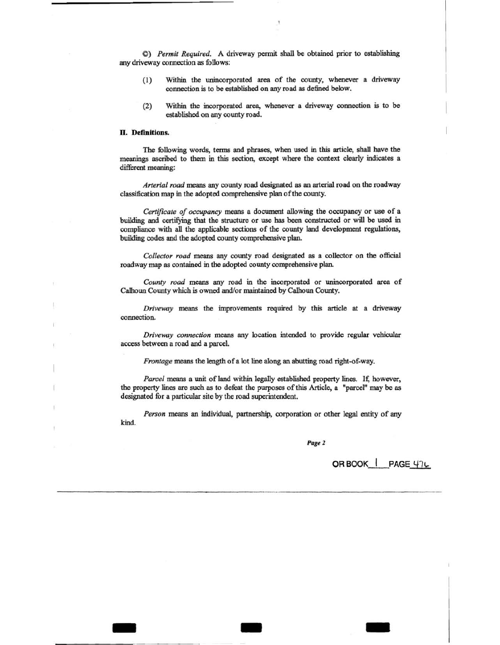C) *Permit Required.* A driveway pennit shall be obtained prior to establishing any driveway connection as follows:

- (1) Within the unincorporated area of the county, whenever a driveway connection is to be established on any road as defined below.
- (2) Within the incorporated area, whenever a driveway connection is to be established on any county road.

#### II. Definitions.

The following words, terms and phrases, when used in this article, shall have the meanings ascnbed to them in this section, except where the context clearly indicates a different meaning:

*Arterial road* means any county road designated as an arterial road on the roadway classification map in the adopted comprehensive plan of the county.

*Certificate of occupancy* means a docwnent allowing the occupancy or use of a building and certifying that the structure or use has been constructed or will be used in compliance with all the applicable sections of the county land development regulations, building codes and the adopted county comprehensive plan.

*Collector road* means any county road designated as a collector on the official roadway map as contained in the adopted county comprehensive plan.

*County road* means any road in the incorporated or unincorporated area of Calhoun County which is owned and/or maintained by Calhoun County.

*Driveway* means the improvements required by this article at a driveway connection.

*Driveway connection* means any location intended to provide regular vehicular access between a road and a parcel

*Frontage* means the length of a lot line along an abutting road right-of-way.

Parcel means a unit of land within legally established property lines. If, however, the property lines are such as to defeat the purposes of this Article, a "parcel" may be as designated for a particular site by the road superintendent.

*Person* means an individual, partnership, corporation or other legal entity of any kind.

- - -

Page 2

OR BOOK | PAGE 47L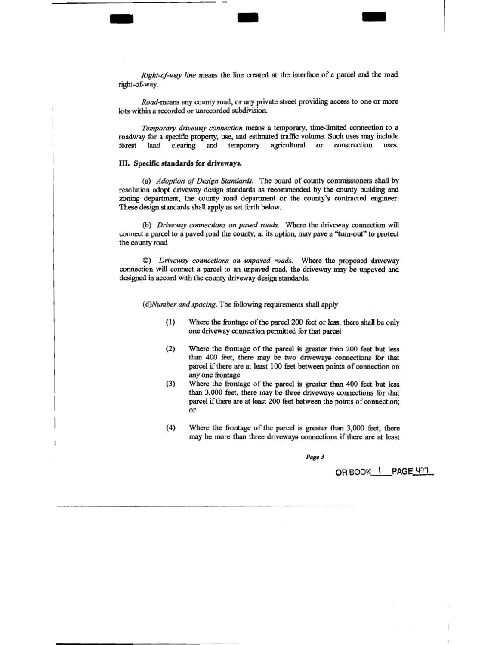*Right-of-way line* means the line created at the interface of a parcel and the road right-of-way.

- - -

*Road-means* any county road, or any private street providing access to one or more lots within a recorded or unrecorded subdivision.

*Temporary driveway connection means* a temporary, time-limited connection to a roadway for a specific property, use, and estimated traffic volume. Such uses may include forest land clearing and temporary agricultural or construction uses. forest land clearing and temporary agricultural or construction

# ill. Specific standards for driveways.

(a) *Adoption of Design Standards.* The board of county commissioners shall by resolution adopt driveway design standards as recommended by the county building and zoning department, the county road department or the county's contracted engineer. These design standards shall apply as set forth below.

(b) *Driveway connections on paved roads.* Where the driveway connection will connect a parcel to a paved road the county, at its option, may pave a ''turn-out" *to* protect the county road

©) *Driveway connections on unpaved roads.* Where the proposed driveway connection will connect a parcel to an unpaved road, the driveway may be unpaved and designed in accord with the county driveway design standards.

( *d)Number and spacing.* The following requirements shall apply

- (1) Where the frontage of the parcel 200 feet or less, there shall be only one driveway connection pennitted for that parcel
- (2) Where the frontage of the parcel is greater than 200 feet but less than 400 feet, there may be two driveways connections for that parcel if there are at least 100 feet between points of connection on any one frontage
- (3) Where the frontage of the parcel is greater than 400 feet but less than 3,000 feet, there may be three driveways connections for that parcel if there are at least 200 feet between the points of connection; or
- (4) Where the frontage of the parcel is greater than 3,000 feet, there may be more than three driveways connections if there are at least

Page 3

OR BOOK | PAGE 477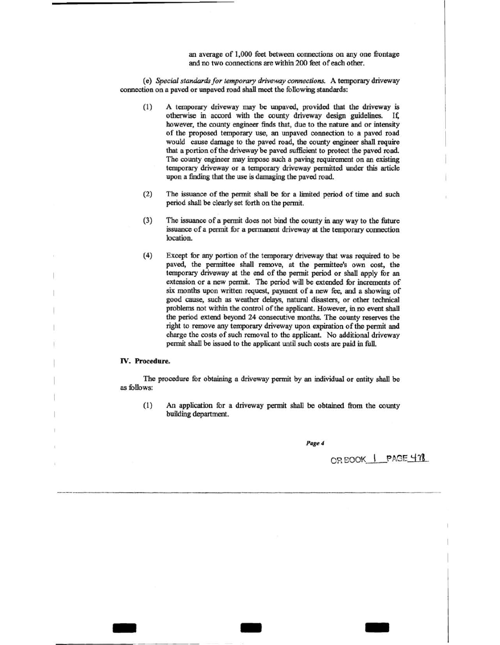an average of 1,000 feet between connections on any one frontage and no two connections are within 200 feet of each other.

(e) *Special standards for temporary driveway connections.* A temporary driveway connection on a paved or unpaved road shall meet the following standards:

- (1) A temporary driveway may be unpaved, provided that the driveway is otherwise in accord with the county driveway design guidelines. If, however, the county engineer finds that, due to the nature and or intensity of the proposed temporary use, an unpaved connection to a paved road would cause damage to the paved road, the county engineer shall require that a portion of the driveway be paved sufficient to protect the paved road. The county engineer may impose such a paving requirement on an existing temporary driveway or a temporary driveway permitted under this article upon a finding that the use is damaging the paved road.
- $(2)$  The issuance of the permit shall be for a limited period of time and such period shall be clearly set forth on the pennit.
- (3) The issuance of a pennit does not bind the county in any way to the future issuance of a permit for a permanent driveway at the temporary connection location.
- (4) Except for any portion of the temporary driveway that was required to be paved, the pennittee shall remove, at the permittee's own cost, the temporary driveway at the end of the pennit period or shall apply for an extension or a new pennit. The period will be extended for increments of six months upon written request, payment of a new fee, and a showing of good cause, such as weather delays, natural disasters, or other technical problems not within the control of the applicant. However, in no event shall the period extend beyond 24 consecutive months. The county reserves the right to remove any temporary driveway upon expiration of the pennit and charge the costs of such removal to the applicant. No additional driveway permit shall be issued to the applicant until such costs are paid in full.

## IV. **Procedure.**

-

The procedure for obtaining a driveway pennit by an individual or entity shall be as follows:

(1) An application for a driveway permit shall be obtained from the county building department.

Page 4

- -

OR BOOK | PAGE 478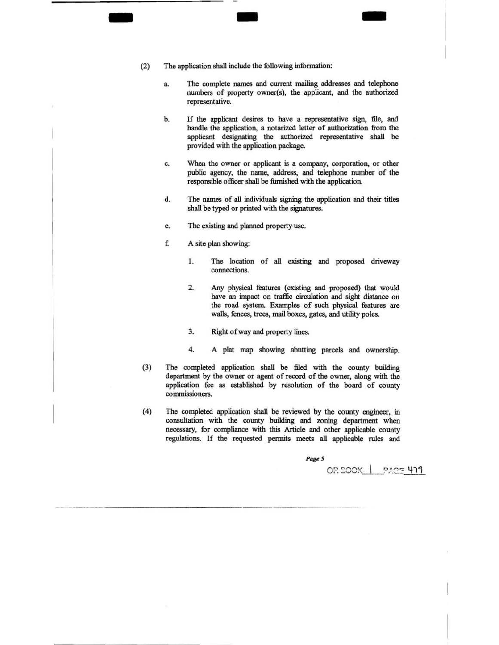(2) The application shall include the following information:

 $-$  -  $-$ 

- a. The complete names and current mailing addresses and telephone numbers of property owner(s), the applicant, and the authorized representative.
- b. If the applicant desires to have a representative sign, file, and handle the application, a notarized letter of authorization from the applicant designating the authorized representative shall be provided with the application package.
- c. When the owner or applicant is a company, corporation, or other public agency, the name, address, and telephone number of the responsible officer shall be furnished with the application.
- d. The names of all individuals signing the application and their titles shall be typed or printed with the signatures.
- e. The existing and planned property use.
- f. A site plan showing:
	- 1. The location of all existing and proposed driveway connections.
	- 2. Any physical features (existing and proposed) that would have an impact on traffic circulation and sight distance on the road system. Examples of such physical features are walls, fences, trees, mail boxes, gates, and utility poles.
	- 3. Right of way and property lines.
	- 4. A plat map showing abutting parcels and ownership.
- (3) The completed application shall be filed with the county building department by the owner or agent of record of the owner, along with the application fee as established by resolution of the board of county commissioners.
- (4) The completed application shall be reviewed by the county engineer, in consultation with the county building and zoning department when necessary, for compliance with this Article and other applicable county regulations. If the requested permits meets all applicable rules and

Page 5

------ -·-

OR BOOK | PAGE 419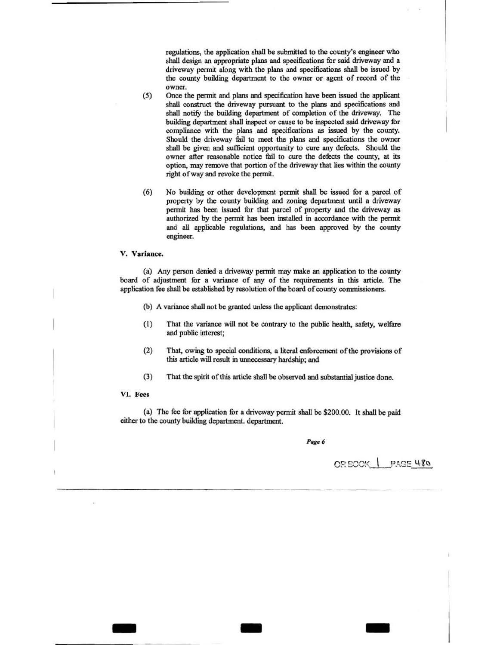regulations, the application shall be submitted to the county's engineer who shall design an appropriate plans and specifications for said driveway and a driveway permit along with the plans and specifications shall be issued by the county building department to the owner or agent of record of the owner.

- (5) Once the permit and plans and specification have been issued the applicant shall construct the driveway pursuant to the plans and specifications and shall notify the building department of completion of the driveway. The building department shall inspect or cause to be inspected said driveway for compliance with the plans and specifications as issued by the county. Should the driveway fail to meet the plans and specifications the owner shall be given and sufficient opportunity to cure any defects. Should the owner after reasonable notice fail to cure the defects the county, at its option, may remove that portion of the driveway that lies within the county right of way and revoke the permit.
- (6) No building or other development permit shall be issued for a parcel of property by the county building and zoning department until a driveway permit has been issued for that parcel of property and the driveway as authorized by the permit has been installed in accordance with the permit and all applicable regulations, and has been approved by the county engineer.

## V. Variance.

(a) Any person denied a driveway permit may make an application to the county board of adjustment for a variance of any of the requirements in this article. The application fee shall be established by resolution of the board of county commissioners.

- (b) A variance shall not be granted unless the applicant demonstrates:
- (1) That the variance will not be contrary to the public health, safety, welfare and public interest;
- (2) That, owing to special conditions, a literal enforcement of the provisions of this article will result in unnecessary hardship; and
- (3) That the spirit of this article shall be observed and substantial justice done.

## VI. Fees

(a) The fee for application for a driveway permit shall be \$200.00. It shall be paid either to the county building department. department.

- - -

*Page 6* 

 $O$ R BOOK  $\parallel$  PAGE 480